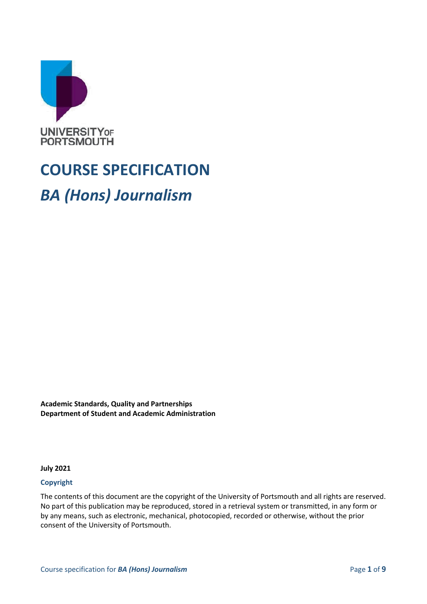

# **COURSE SPECIFICATION** *BA (Hons) Journalism*

**Academic Standards, Quality and Partnerships Department of Student and Academic Administration**

**July 2021**

#### **Copyright**

The contents of this document are the copyright of the University of Portsmouth and all rights are reserved. No part of this publication may be reproduced, stored in a retrieval system or transmitted, in any form or by any means, such as electronic, mechanical, photocopied, recorded or otherwise, without the prior consent of the University of Portsmouth.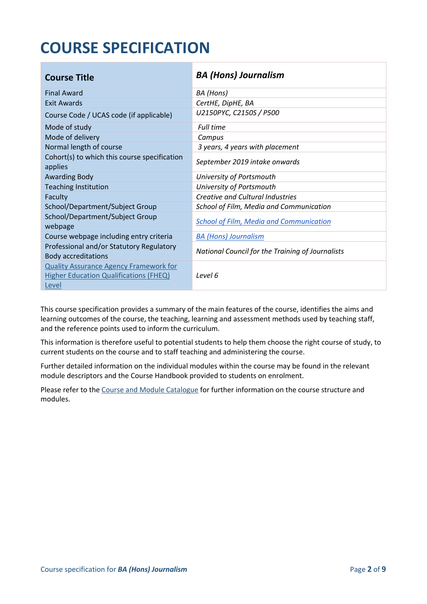## **COURSE SPECIFICATION**

| <b>Course Title</b>                                                                                     | <b>BA (Hons) Journalism</b>                      |
|---------------------------------------------------------------------------------------------------------|--------------------------------------------------|
| <b>Final Award</b>                                                                                      | BA (Hons)                                        |
| <b>Exit Awards</b>                                                                                      | CertHE, DipHE, BA                                |
| Course Code / UCAS code (if applicable)                                                                 | U2150PYC, C2150S / P500                          |
| Mode of study                                                                                           | <b>Full time</b>                                 |
| Mode of delivery                                                                                        | Campus                                           |
| Normal length of course                                                                                 | 3 years, 4 years with placement                  |
| Cohort(s) to which this course specification<br>applies                                                 | September 2019 intake onwards                    |
| <b>Awarding Body</b>                                                                                    | University of Portsmouth                         |
| <b>Teaching Institution</b>                                                                             | University of Portsmouth                         |
| Faculty                                                                                                 | <b>Creative and Cultural Industries</b>          |
| School/Department/Subject Group                                                                         | School of Film, Media and Communication          |
| School/Department/Subject Group<br>webpage                                                              | <b>School of Film, Media and Communication</b>   |
| Course webpage including entry criteria                                                                 | <b>BA (Hons) Journalism</b>                      |
| Professional and/or Statutory Regulatory<br><b>Body accreditations</b>                                  | National Council for the Training of Journalists |
| <b>Quality Assurance Agency Framework for</b><br><b>Higher Education Qualifications (FHEQ)</b><br>Level | Level 6                                          |

This course specification provides a summary of the main features of the course, identifies the aims and learning outcomes of the course, the teaching, learning and assessment methods used by teaching staff, and the reference points used to inform the curriculum.

This information is therefore useful to potential students to help them choose the right course of study, to current students on the course and to staff teaching and administering the course.

Further detailed information on the individual modules within the course may be found in the relevant module descriptors and the Course Handbook provided to students on enrolment.

Please refer to the Course [and Module Catalogue](https://course-module-catalog.port.ac.uk/#/welcome) for further information on the course structure and modules.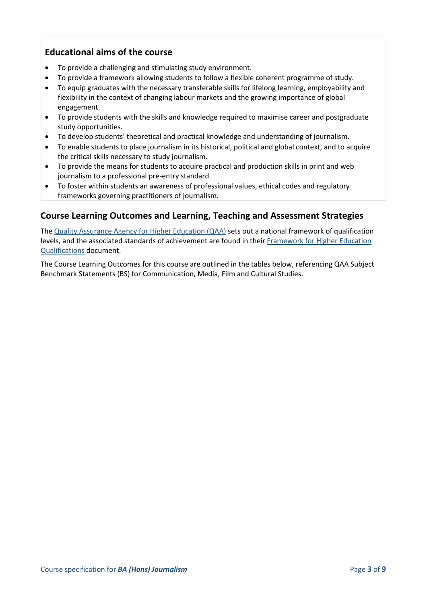#### **Educational aims of the course**

- To provide a challenging and stimulating study environment.
- To provide a framework allowing students to follow a flexible coherent programme of study.
- To equip graduates with the necessary transferable skills for lifelong learning, employability and flexibility in the context of changing labour markets and the growing importance of global engagement.
- To provide students with the skills and knowledge required to maximise career and postgraduate study opportunities.
- To develop students' theoretical and practical knowledge and understanding of journalism.
- To enable students to place journalism in its historical, political and global context, and to acquire the critical skills necessary to study journalism.
- To provide the means for students to acquire practical and production skills in print and web journalism to a professional pre-entry standard.
- To foster within students an awareness of professional values, ethical codes and regulatory frameworks governing practitioners of journalism.

#### **Course Learning Outcomes and Learning, Teaching and Assessment Strategies**

The [Quality Assurance Agency for Higher Education \(QAA\)](http://www.qaa.ac.uk/en) sets out a national framework of qualification levels, and the associated standards of achievement are found in their Framework for Higher Education [Qualifications](https://www.qaa.ac.uk/quality-code/qualifications-frameworks) document.

The Course Learning Outcomes for this course are outlined in the tables below, referencing QAA Subject Benchmark Statements (BS) for Communication, Media, Film and Cultural Studies.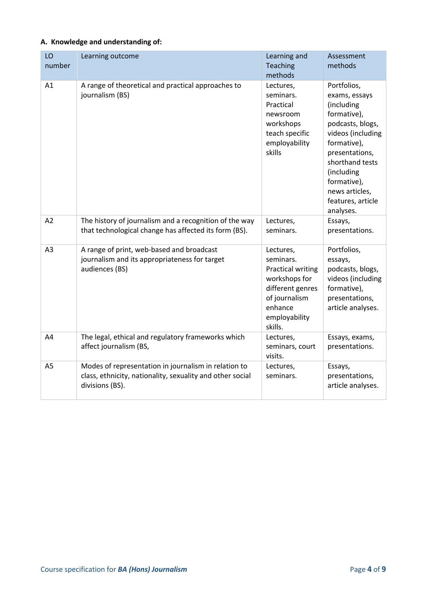#### **A. Knowledge and understanding of:**

| LO<br>number   | Learning outcome                                                                                                                     | Learning and<br>Teaching<br>methods                                                                                                             | Assessment<br>methods                                                                                                                                                                                                                   |
|----------------|--------------------------------------------------------------------------------------------------------------------------------------|-------------------------------------------------------------------------------------------------------------------------------------------------|-----------------------------------------------------------------------------------------------------------------------------------------------------------------------------------------------------------------------------------------|
| A1             | A range of theoretical and practical approaches to<br>journalism (BS)                                                                | Lectures,<br>seminars.<br>Practical<br>newsroom<br>workshops<br>teach specific<br>employability<br>skills                                       | Portfolios,<br>exams, essays<br>(including<br>formative),<br>podcasts, blogs,<br>videos (including<br>formative),<br>presentations,<br>shorthand tests<br>(including<br>formative),<br>news articles,<br>features, article<br>analyses. |
| A2             | The history of journalism and a recognition of the way<br>that technological change has affected its form (BS).                      | Lectures,<br>seminars.                                                                                                                          | Essays,<br>presentations.                                                                                                                                                                                                               |
| A <sub>3</sub> | A range of print, web-based and broadcast<br>journalism and its appropriateness for target<br>audiences (BS)                         | Lectures,<br>seminars.<br><b>Practical writing</b><br>workshops for<br>different genres<br>of journalism<br>enhance<br>employability<br>skills. | Portfolios,<br>essays,<br>podcasts, blogs,<br>videos (including<br>formative),<br>presentations,<br>article analyses.                                                                                                                   |
| A4             | The legal, ethical and regulatory frameworks which<br>affect journalism (BS,                                                         | Lectures,<br>seminars, court<br>visits.                                                                                                         | Essays, exams,<br>presentations.                                                                                                                                                                                                        |
| A <sub>5</sub> | Modes of representation in journalism in relation to<br>class, ethnicity, nationality, sexuality and other social<br>divisions (BS). | Lectures,<br>seminars.                                                                                                                          | Essays,<br>presentations,<br>article analyses.                                                                                                                                                                                          |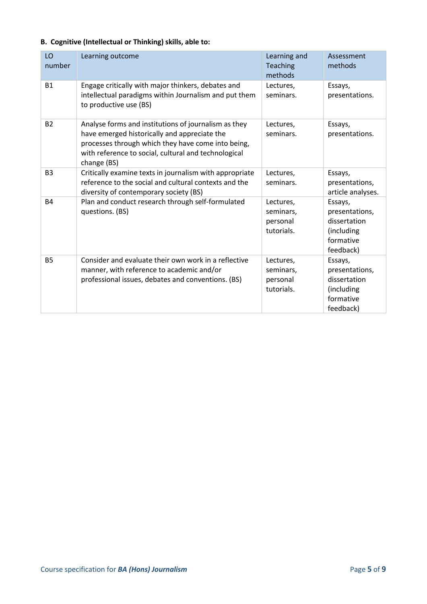#### **B. Cognitive (Intellectual or Thinking) skills, able to:**

| LO<br>number   | Learning outcome                                                                                                                                                                                                                  | Learning and<br>Teaching<br>methods              | Assessment<br>methods                                                             |
|----------------|-----------------------------------------------------------------------------------------------------------------------------------------------------------------------------------------------------------------------------------|--------------------------------------------------|-----------------------------------------------------------------------------------|
| <b>B1</b>      | Engage critically with major thinkers, debates and<br>intellectual paradigms within Journalism and put them<br>to productive use (BS)                                                                                             | Lectures,<br>seminars.                           | Essays,<br>presentations.                                                         |
| <b>B2</b>      | Analyse forms and institutions of journalism as they<br>have emerged historically and appreciate the<br>processes through which they have come into being,<br>with reference to social, cultural and technological<br>change (BS) | Lectures,<br>seminars.                           | Essays,<br>presentations.                                                         |
| B <sub>3</sub> | Critically examine texts in journalism with appropriate<br>reference to the social and cultural contexts and the<br>diversity of contemporary society (BS)                                                                        | Lectures,<br>seminars.                           | Essays,<br>presentations,<br>article analyses.                                    |
| <b>B4</b>      | Plan and conduct research through self-formulated<br>questions. (BS)                                                                                                                                                              | Lectures,<br>seminars,<br>personal<br>tutorials. | Essays,<br>presentations,<br>dissertation<br>(including<br>formative<br>feedback) |
| <b>B5</b>      | Consider and evaluate their own work in a reflective<br>manner, with reference to academic and/or<br>professional issues, debates and conventions. (BS)                                                                           | Lectures,<br>seminars,<br>personal<br>tutorials. | Essays,<br>presentations,<br>dissertation<br>(including<br>formative<br>feedback) |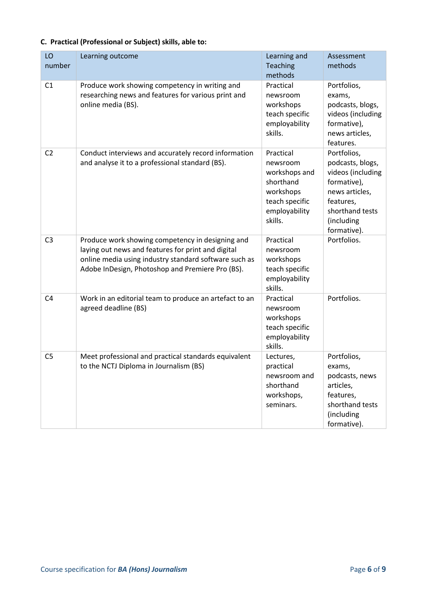|  |  |  |  | C. Practical (Professional or Subject) skills, able to: |
|--|--|--|--|---------------------------------------------------------|
|--|--|--|--|---------------------------------------------------------|

| LO             | Learning outcome                                                                                                                                                                                                    | Learning and                                                                                                   | Assessment                                                                                                                                         |
|----------------|---------------------------------------------------------------------------------------------------------------------------------------------------------------------------------------------------------------------|----------------------------------------------------------------------------------------------------------------|----------------------------------------------------------------------------------------------------------------------------------------------------|
| number         |                                                                                                                                                                                                                     | Teaching                                                                                                       | methods                                                                                                                                            |
| C <sub>1</sub> | Produce work showing competency in writing and<br>researching news and features for various print and<br>online media (BS).                                                                                         | methods<br>Practical<br>newsroom<br>workshops<br>teach specific<br>employability<br>skills.                    | Portfolios,<br>exams,<br>podcasts, blogs,<br>videos (including<br>formative),<br>news articles,<br>features.                                       |
| C <sub>2</sub> | Conduct interviews and accurately record information<br>and analyse it to a professional standard (BS).                                                                                                             | Practical<br>newsroom<br>workshops and<br>shorthand<br>workshops<br>teach specific<br>employability<br>skills. | Portfolios,<br>podcasts, blogs,<br>videos (including<br>formative),<br>news articles,<br>features,<br>shorthand tests<br>(including<br>formative). |
| C <sub>3</sub> | Produce work showing competency in designing and<br>laying out news and features for print and digital<br>online media using industry standard software such as<br>Adobe InDesign, Photoshop and Premiere Pro (BS). | Practical<br>newsroom<br>workshops<br>teach specific<br>employability<br>skills.                               | Portfolios.                                                                                                                                        |
| C <sub>4</sub> | Work in an editorial team to produce an artefact to an<br>agreed deadline (BS)                                                                                                                                      | Practical<br>newsroom<br>workshops<br>teach specific<br>employability<br>skills.                               | Portfolios.                                                                                                                                        |
| C <sub>5</sub> | Meet professional and practical standards equivalent<br>to the NCTJ Diploma in Journalism (BS)                                                                                                                      | Lectures,<br>practical<br>newsroom and<br>shorthand<br>workshops,<br>seminars.                                 | Portfolios,<br>exams,<br>podcasts, news<br>articles,<br>features,<br>shorthand tests<br>(including<br>formative).                                  |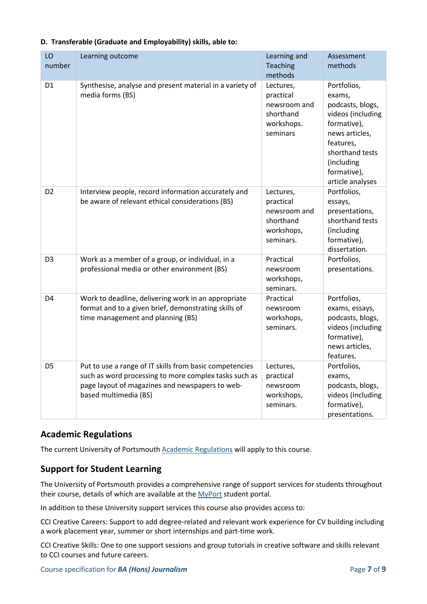| LO<br>number   | Learning outcome                                                                                                                                                                             | Learning and<br>Teaching<br>methods                                            | Assessment<br>methods                                                                                                                                                            |
|----------------|----------------------------------------------------------------------------------------------------------------------------------------------------------------------------------------------|--------------------------------------------------------------------------------|----------------------------------------------------------------------------------------------------------------------------------------------------------------------------------|
| D1             | Synthesise, analyse and present material in a variety of<br>media forms (BS)                                                                                                                 | Lectures,<br>practical<br>newsroom and<br>shorthand<br>workshops.<br>seminars  | Portfolios,<br>exams,<br>podcasts, blogs,<br>videos (including<br>formative),<br>news articles,<br>features,<br>shorthand tests<br>(including<br>formative),<br>article analyses |
| D <sub>2</sub> | Interview people, record information accurately and<br>be aware of relevant ethical considerations (BS)                                                                                      | Lectures,<br>practical<br>newsroom and<br>shorthand<br>workshops,<br>seminars. | Portfolios,<br>essays,<br>presentations,<br>shorthand tests<br>(including<br>formative),<br>dissertation.                                                                        |
| D <sub>3</sub> | Work as a member of a group, or individual, in a<br>professional media or other environment (BS)                                                                                             | Practical<br>newsroom<br>workshops,<br>seminars.                               | Portfolios,<br>presentations.                                                                                                                                                    |
| D4             | Work to deadline, delivering work in an appropriate<br>format and to a given brief, demonstrating skills of<br>time management and planning (BS)                                             | Practical<br>newsroom<br>workshops,<br>seminars.                               | Portfolios,<br>exams, essays,<br>podcasts, blogs,<br>videos (including<br>formative),<br>news articles,<br>features.                                                             |
| D <sub>5</sub> | Put to use a range of IT skills from basic competencies<br>such as word processing to more complex tasks such as<br>page layout of magazines and newspapers to web-<br>based multimedia (BS) | Lectures,<br>practical<br>newsroom<br>workshops,<br>seminars.                  | Portfolios,<br>exams,<br>podcasts, blogs,<br>videos (including<br>formative),<br>presentations.                                                                                  |

#### **D. Transferable (Graduate and Employability) skills, able to:**

#### **Academic Regulations**

The current University of Portsmouth **Academic Regulations** will apply to this course.

#### **Support for Student Learning**

The University of Portsmouth provides a comprehensive range of support services for students throughout their course, details of which are available at the [MyPort](http://myport.ac.uk/) student portal.

In addition to these University support services this course also provides access to:

CCI Creative Careers: Support to add degree-related and relevant work experience for CV building including a work placement year, summer or short internships and part-time work.

CCI Creative Skills: One to one support sessions and group tutorials in creative software and skills relevant to CCI courses and future careers.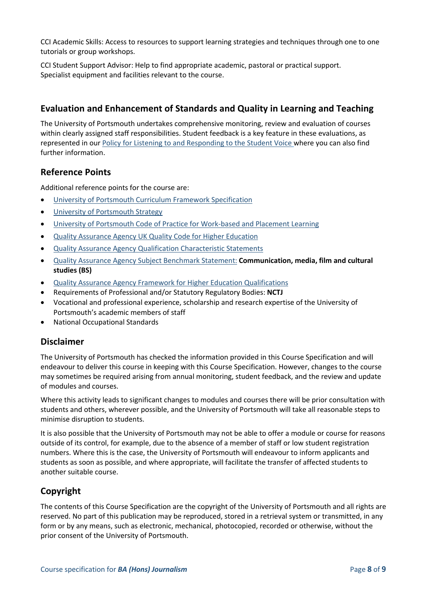CCI Academic Skills: Access to resources to support learning strategies and techniques through one to one tutorials or group workshops.

CCI Student Support Advisor: Help to find appropriate academic, pastoral or practical support. Specialist equipment and facilities relevant to the course.

#### **Evaluation and Enhancement of Standards and Quality in Learning and Teaching**

The University of Portsmouth undertakes comprehensive monitoring, review and evaluation of courses within clearly assigned staff responsibilities. Student feedback is a key feature in these evaluations, as represented in our [Policy for Listening to and Responding to the Student Voice](http://policies.docstore.port.ac.uk/policy-069.pdf) where you can also find further information.

#### **Reference Points**

Additional reference points for the course are:

- [University of Portsmouth Curriculum Framework Specification](http://policies.docstore.port.ac.uk/policy-217.pdf?_ga=2.262170252.1863271531.1625471462-353504235.1613498042)
- **.** [University of Portsmouth Strategy](https://www.port.ac.uk/about-us/our-ambition/our-strategy)
- [University of Portsmouth Code of Practice for Work-based and Placement Learning](http://policies.docstore.port.ac.uk/policy-151.pdf)
- [Quality Assurance Agency UK Quality Code for Higher Education](https://www.qaa.ac.uk/quality-code)
- [Quality Assurance Agency Qualification Characteristic Statements](https://www.qaa.ac.uk/quality-code/characteristics-statements)
- [Quality Assurance Agency Subject Benchmark Statement:](https://www.qaa.ac.uk/quality-code/subject-benchmark-statements) **Communication, media, film and cultural studies (BS)**
- [Quality Assurance Agency Framework for Higher Education Qualifications](https://www.qaa.ac.uk/quality-code/qualifications-frameworks)
- Requirements of Professional and/or Statutory Regulatory Bodies: **NCTJ**
- Vocational and professional experience, scholarship and research expertise of the University of Portsmouth's academic members of staff
- National Occupational Standards

#### **Disclaimer**

The University of Portsmouth has checked the information provided in this Course Specification and will endeavour to deliver this course in keeping with this Course Specification. However, changes to the course may sometimes be required arising from annual monitoring, student feedback, and the review and update of modules and courses.

Where this activity leads to significant changes to modules and courses there will be prior consultation with students and others, wherever possible, and the University of Portsmouth will take all reasonable steps to minimise disruption to students.

It is also possible that the University of Portsmouth may not be able to offer a module or course for reasons outside of its control, for example, due to the absence of a member of staff or low student registration numbers. Where this is the case, the University of Portsmouth will endeavour to inform applicants and students as soon as possible, and where appropriate, will facilitate the transfer of affected students to another suitable course.

#### **Copyright**

The contents of this Course Specification are the copyright of the University of Portsmouth and all rights are reserved. No part of this publication may be reproduced, stored in a retrieval system or transmitted, in any form or by any means, such as electronic, mechanical, photocopied, recorded or otherwise, without the prior consent of the University of Portsmouth.